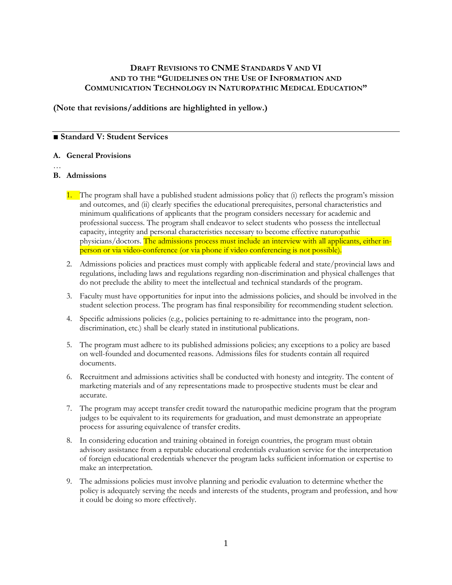## **DRAFT REVISIONS TO CNME STANDARDS V AND VI AND TO THE "GUIDELINES ON THE USE OF INFORMATION AND COMMUNICATION TECHNOLOGY IN NATUROPATHIC MEDICAL EDUCATION"**

**(Note that revisions/additions are highlighted in yellow.)**

## ■ **Standard V: Student Services**

#### **A. General Provisions**

…

## **B. Admissions**

- 1. The program shall have a published student admissions policy that (i) reflects the program's mission and outcomes, and (ii) clearly specifies the educational prerequisites, personal characteristics and minimum qualifications of applicants that the program considers necessary for academic and professional success. The program shall endeavor to select students who possess the intellectual capacity, integrity and personal characteristics necessary to become effective naturopathic physicians/doctors. The admissions process must include an interview with all applicants, either inperson or via video-conference (or via phone if video conferencing is not possible).
- 2. Admissions policies and practices must comply with applicable federal and state/provincial laws and regulations, including laws and regulations regarding non-discrimination and physical challenges that do not preclude the ability to meet the intellectual and technical standards of the program.
- 3. Faculty must have opportunities for input into the admissions policies, and should be involved in the student selection process. The program has final responsibility for recommending student selection.
- 4. Specific admissions policies (e.g., policies pertaining to re-admittance into the program, nondiscrimination, etc.) shall be clearly stated in institutional publications.
- 5. The program must adhere to its published admissions policies; any exceptions to a policy are based on well-founded and documented reasons. Admissions files for students contain all required documents.
- 6. Recruitment and admissions activities shall be conducted with honesty and integrity. The content of marketing materials and of any representations made to prospective students must be clear and accurate.
- 7. The program may accept transfer credit toward the naturopathic medicine program that the program judges to be equivalent to its requirements for graduation, and must demonstrate an appropriate process for assuring equivalence of transfer credits.
- 8. In considering education and training obtained in foreign countries, the program must obtain advisory assistance from a reputable educational credentials evaluation service for the interpretation of foreign educational credentials whenever the program lacks sufficient information or expertise to make an interpretation.
- 9. The admissions policies must involve planning and periodic evaluation to determine whether the policy is adequately serving the needs and interests of the students, program and profession, and how it could be doing so more effectively.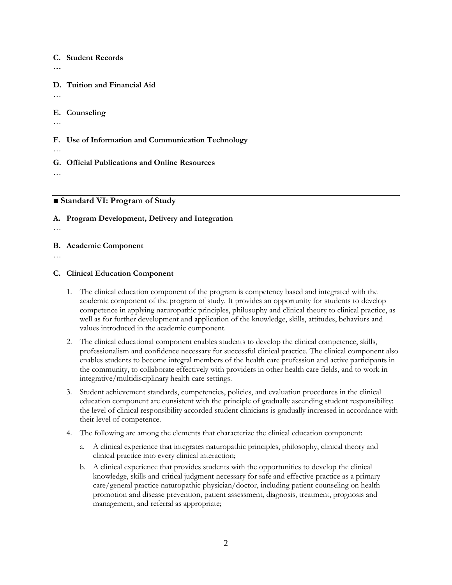#### **C. Student Records**

**…**

**D. Tuition and Financial Aid**

…

### **E. Counseling**

…

**F. Use of Information and Communication Technology**

**G. Official Publications and Online Resources**

…

…

## **■ Standard VI: Program of Study**

## **A. Program Development, Delivery and Integration**

…

## **B. Academic Component**

…

## **C. Clinical Education Component**

- 1. The clinical education component of the program is competency based and integrated with the academic component of the program of study. It provides an opportunity for students to develop competence in applying naturopathic principles, philosophy and clinical theory to clinical practice, as well as for further development and application of the knowledge, skills, attitudes, behaviors and values introduced in the academic component.
- 2. The clinical educational component enables students to develop the clinical competence, skills, professionalism and confidence necessary for successful clinical practice. The clinical component also enables students to become integral members of the health care profession and active participants in the community, to collaborate effectively with providers in other health care fields, and to work in integrative/multidisciplinary health care settings.
- 3. Student achievement standards, competencies, policies, and evaluation procedures in the clinical education component are consistent with the principle of gradually ascending student responsibility: the level of clinical responsibility accorded student clinicians is gradually increased in accordance with their level of competence.
- 4. The following are among the elements that characterize the clinical education component:
	- a. A clinical experience that integrates naturopathic principles, philosophy, clinical theory and clinical practice into every clinical interaction;
	- b. A clinical experience that provides students with the opportunities to develop the clinical knowledge, skills and critical judgment necessary for safe and effective practice as a primary care/general practice naturopathic physician/doctor, including patient counseling on health promotion and disease prevention, patient assessment, diagnosis, treatment, prognosis and management, and referral as appropriate;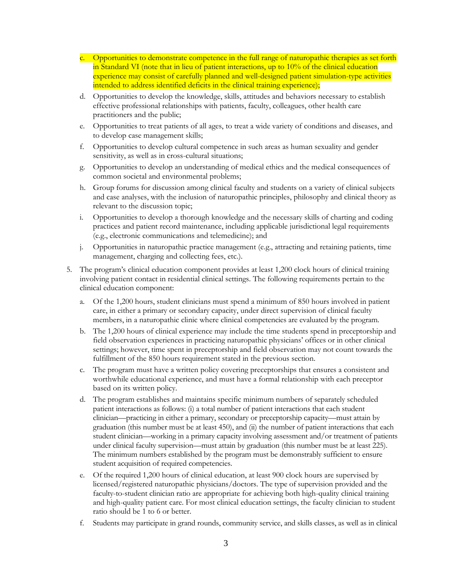- c. Opportunities to demonstrate competence in the full range of naturopathic therapies as set forth in Standard VI (note that in lieu of patient interactions, up to 10% of the clinical education experience may consist of carefully planned and well-designed patient simulation-type activities intended to address identified deficits in the clinical training experience);
- d. Opportunities to develop the knowledge, skills, attitudes and behaviors necessary to establish effective professional relationships with patients, faculty, colleagues, other health care practitioners and the public;
- e. Opportunities to treat patients of all ages, to treat a wide variety of conditions and diseases, and to develop case management skills;
- f. Opportunities to develop cultural competence in such areas as human sexuality and gender sensitivity, as well as in cross-cultural situations;
- g. Opportunities to develop an understanding of medical ethics and the medical consequences of common societal and environmental problems;
- h. Group forums for discussion among clinical faculty and students on a variety of clinical subjects and case analyses, with the inclusion of naturopathic principles, philosophy and clinical theory as relevant to the discussion topic;
- i. Opportunities to develop a thorough knowledge and the necessary skills of charting and coding practices and patient record maintenance, including applicable jurisdictional legal requirements (e.g., electronic communications and telemedicine); and
- j. Opportunities in naturopathic practice management (e.g., attracting and retaining patients, time management, charging and collecting fees, etc.).
- 5. The program's clinical education component provides at least 1,200 clock hours of clinical training involving patient contact in residential clinical settings. The following requirements pertain to the clinical education component:
	- a. Of the 1,200 hours, student clinicians must spend a minimum of 850 hours involved in patient care, in either a primary or secondary capacity, under direct supervision of clinical faculty members, in a naturopathic clinic where clinical competencies are evaluated by the program.
	- b. The 1,200 hours of clinical experience may include the time students spend in preceptorship and field observation experiences in practicing naturopathic physicians' offices or in other clinical settings; however, time spent in preceptorship and field observation may not count towards the fulfillment of the 850 hours requirement stated in the previous section.
	- c. The program must have a written policy covering preceptorships that ensures a consistent and worthwhile educational experience, and must have a formal relationship with each preceptor based on its written policy.
	- d. The program establishes and maintains specific minimum numbers of separately scheduled patient interactions as follows: (i) a total number of patient interactions that each student clinician—practicing in either a primary, secondary or preceptorship capacity—must attain by graduation (this number must be at least 450), and (ii) the number of patient interactions that each student clinician—working in a primary capacity involving assessment and/or treatment of patients under clinical faculty supervision—must attain by graduation (this number must be at least 225). The minimum numbers established by the program must be demonstrably sufficient to ensure student acquisition of required competencies.
	- e. Of the required 1,200 hours of clinical education, at least 900 clock hours are supervised by licensed/registered naturopathic physicians/doctors. The type of supervision provided and the faculty-to-student clinician ratio are appropriate for achieving both high-quality clinical training and high-quality patient care. For most clinical education settings, the faculty clinician to student ratio should be 1 to 6 or better.
	- f. Students may participate in grand rounds, community service, and skills classes, as well as in clinical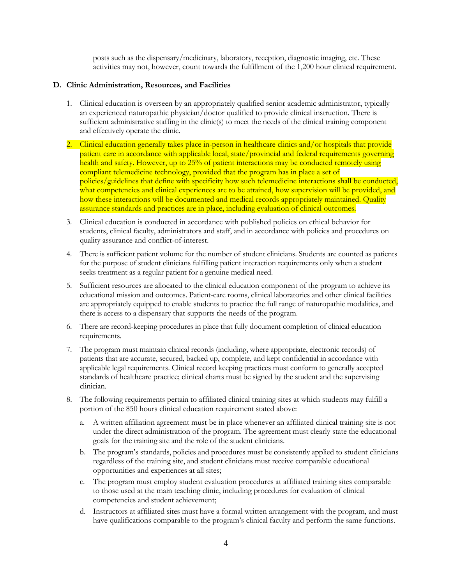posts such as the dispensary/medicinary, laboratory, reception, diagnostic imaging, etc. These activities may not, however, count towards the fulfillment of the 1,200 hour clinical requirement.

### **D. Clinic Administration, Resources, and Facilities**

- 1. Clinical education is overseen by an appropriately qualified senior academic administrator, typically an experienced naturopathic physician/doctor qualified to provide clinical instruction. There is sufficient administrative staffing in the clinic(s) to meet the needs of the clinical training component and effectively operate the clinic.
- 2. Clinical education generally takes place in-person in healthcare clinics and/or hospitals that provide patient care in accordance with applicable local, state/provincial and federal requirements governing health and safety. However, up to 25% of patient interactions may be conducted remotely using compliant telemedicine technology, provided that the program has in place a set of policies/guidelines that define with specificity how such telemedicine interactions shall be conducted, what competencies and clinical experiences are to be attained, how supervision will be provided, and how these interactions will be documented and medical records appropriately maintained. Quality assurance standards and practices are in place, including evaluation of clinical outcomes.
- 3. Clinical education is conducted in accordance with published policies on ethical behavior for students, clinical faculty, administrators and staff, and in accordance with policies and procedures on quality assurance and conflict-of-interest.
- 4. There is sufficient patient volume for the number of student clinicians. Students are counted as patients for the purpose of student clinicians fulfilling patient interaction requirements only when a student seeks treatment as a regular patient for a genuine medical need.
- 5. Sufficient resources are allocated to the clinical education component of the program to achieve its educational mission and outcomes. Patient-care rooms, clinical laboratories and other clinical facilities are appropriately equipped to enable students to practice the full range of naturopathic modalities, and there is access to a dispensary that supports the needs of the program.
- 6. There are record-keeping procedures in place that fully document completion of clinical education requirements.
- 7. The program must maintain clinical records (including, where appropriate, electronic records) of patients that are accurate, secured, backed up, complete, and kept confidential in accordance with applicable legal requirements. Clinical record keeping practices must conform to generally accepted standards of healthcare practice; clinical charts must be signed by the student and the supervising clinician.
- 8. The following requirements pertain to affiliated clinical training sites at which students may fulfill a portion of the 850 hours clinical education requirement stated above:
	- a. A written affiliation agreement must be in place whenever an affiliated clinical training site is not under the direct administration of the program. The agreement must clearly state the educational goals for the training site and the role of the student clinicians.
	- b. The program's standards, policies and procedures must be consistently applied to student clinicians regardless of the training site, and student clinicians must receive comparable educational opportunities and experiences at all sites;
	- c. The program must employ student evaluation procedures at affiliated training sites comparable to those used at the main teaching clinic, including procedures for evaluation of clinical competencies and student achievement;
	- d. Instructors at affiliated sites must have a formal written arrangement with the program, and must have qualifications comparable to the program's clinical faculty and perform the same functions.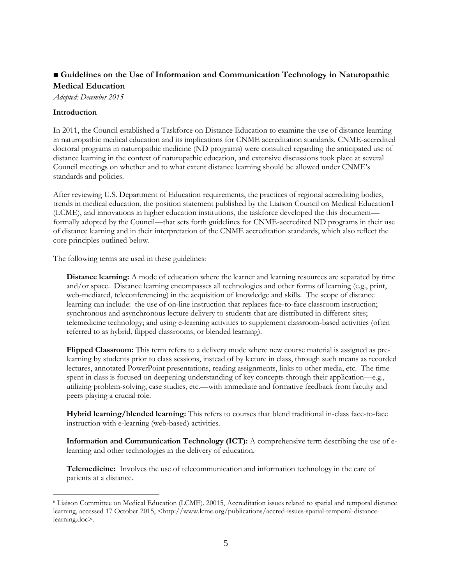# ■ Guidelines on the Use of Information and Communication Technology in Naturopathic **Medical Education**

*Adopted: December 2015*

#### **Introduction**

In 2011, the Council established a Taskforce on Distance Education to examine the use of distance learning in naturopathic medical education and its implications for CNME accreditation standards. CNME-accredited doctoral programs in naturopathic medicine (ND programs) were consulted regarding the anticipated use of distance learning in the context of naturopathic education, and extensive discussions took place at several Council meetings on whether and to what extent distance learning should be allowed under CNME's standards and policies.

After reviewing U.S. Department of Education requirements, the practices of regional accrediting bodies, trends in medical education, the position statement published by the Liaison Council on Medical Education1 (LCME), and innovations in higher education institutions, the taskforce developed the this document formally adopted by the Council—that sets forth guidelines for CNME-accredited ND programs in their use of distance learning and in their interpretation of the CNME accreditation standards, which also reflect the core principles outlined below.

The following terms are used in these guidelines:

**Distance learning:** A mode of education where the learner and learning resources are separated by time and/or space. Distance learning encompasses all technologies and other forms of learning (e.g., print, web-mediated, teleconferencing) in the acquisition of knowledge and skills. The scope of distance learning can include: the use of on-line instruction that replaces face-to-face classroom instruction; synchronous and asynchronous lecture delivery to students that are distributed in different sites; telemedicine technology; and using e-learning activities to supplement classroom-based activities (often referred to as hybrid, flipped classrooms, or blended learning).

**Flipped Classroom:** This term refers to a delivery mode where new course material is assigned as prelearning by students prior to class sessions, instead of by lecture in class, through such means as recorded lectures, annotated PowerPoint presentations, reading assignments, links to other media, etc. The time spent in class is focused on deepening understanding of key concepts through their application—e.g., utilizing problem-solving, case studies, etc.—with immediate and formative feedback from faculty and peers playing a crucial role.

**Hybrid learning/blended learning:** This refers to courses that blend traditional in-class face-to-face instruction with e-learning (web-based) activities.

**Information and Communication Technology (ICT):** A comprehensive term describing the use of elearning and other technologies in the delivery of education.

**Telemedicine:** Involves the use of telecommunication and information technology in the care of patients at a distance.

ii Liaison Committee on Medical Education (LCME). 20015, Accreditation issues related to spatial and temporal distance learning, accessed 17 October 2015, <http://www.lcme.org/publications/accred-issues-spatial-temporal-distancelearning.doc>.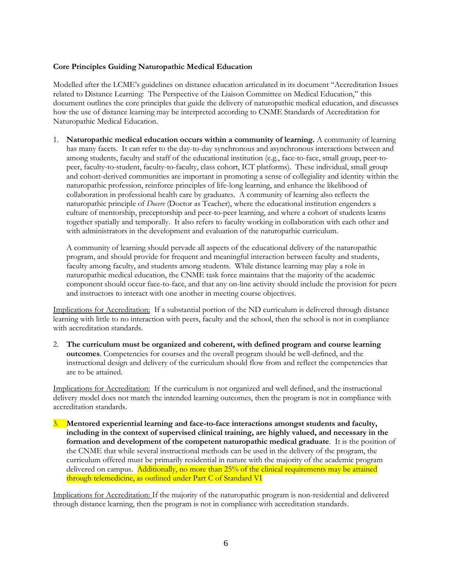## **Core Principles Guiding Naturopathic Medical Education**

Modelled after the LCME's guidelines on distance education articulated in its document "Accreditation Issues related to Distance Learning: The Perspective of the Liaison Committee on Medical Education," this document outlines the core principles that guide the delivery of naturopathic medical education, and discusses how the use of distance learning may be interpreted according to CNME Standards of Accreditation for Naturopathic Medical Education.

1. **Naturopathic medical education occurs within a community of learning.** A community of learning has many facets. It can refer to the day-to-day synchronous and asynchronous interactions between and among students, faculty and staff of the educational institution (e.g., face-to-face, small group, peer-topeer, faculty-to-student, faculty-to-faculty, class cohort, ICT platforms). These individual, small group and cohort-derived communities are important in promoting a sense of collegiality and identity within the naturopathic profession, reinforce principles of life-long learning, and enhance the likelihood of collaboration in professional health care by graduates. A community of learning also reflects the naturopathic principle of *Docere* (Doctor as Teacher), where the educational institution engenders a culture of mentorship, preceptorship and peer-to-peer learning, and where a cohort of students learns together spatially and temporally. It also refers to faculty working in collaboration with each other and with administrators in the development and evaluation of the naturopathic curriculum.

A community of learning should pervade all aspects of the educational delivery of the naturopathic program, and should provide for frequent and meaningful interaction between faculty and students, faculty among faculty, and students among students. While distance learning may play a role in naturopathic medical education, the CNME task force maintains that the majority of the academic component should occur face-to-face, and that any on-line activity should include the provision for peers and instructors to interact with one another in meeting course objectives.

Implications for Accreditation: If a substantial portion of the ND curriculum is delivered through distance learning with little to no interaction with peers, faculty and the school, then the school is not in compliance with accreditation standards.

2. **The curriculum must be organized and coherent, with defined program and course learning outcomes**. Competencies for courses and the overall program should be well-defined, and the instructional design and delivery of the curriculum should flow from and reflect the competencies that are to be attained.

Implications for Accreditation: If the curriculum is not organized and well defined, and the instructional delivery model does not match the intended learning outcomes, then the program is not in compliance with accreditation standards.

3. **Mentored experiential learning and face-to-face interactions amongst students and faculty, including in the context of supervised clinical training, are highly valued, and necessary in the formation and development of the competent naturopathic medical graduate**. It is the position of the CNME that while several instructional methods can be used in the delivery of the program, the curriculum offered must be primarily residential in nature with the majority of the academic program delivered on campus. Additionally, no more than 25% of the clinical requirements may be attained through telemedicine, as outlined under Part C of Standard VI

Implications for Accreditation: If the majority of the naturopathic program is non-residential and delivered through distance learning, then the program is not in compliance with accreditation standards.